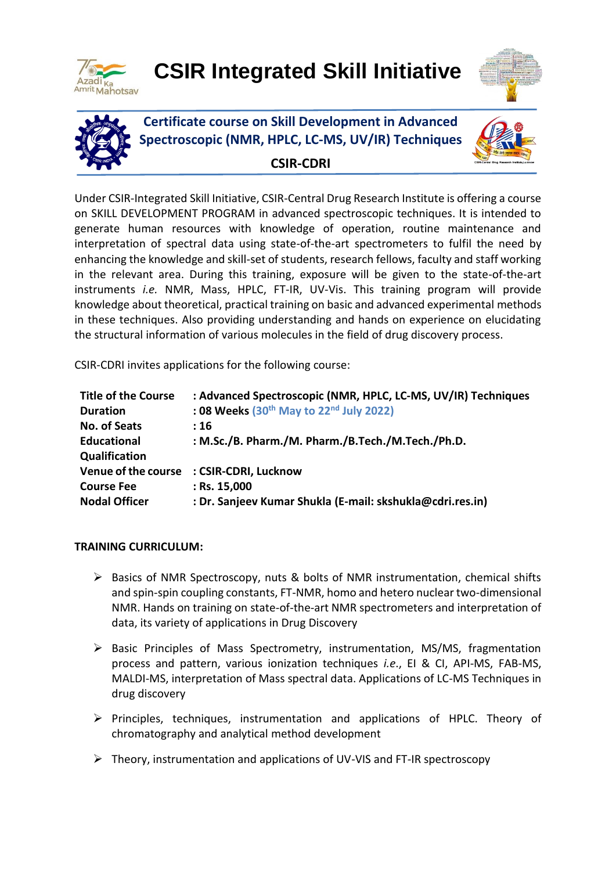

# **CSIR Integrated Skill Initiative**





**Certificate course on Skill Development in Advanced Spectroscopic (NMR, HPLC, LC-MS, UV/IR) Techniques**



**CSIR-CDRI**

Under CSIR-Integrated Skill Initiative, CSIR-Central Drug Research Institute is offering a course on SKILL DEVELOPMENT PROGRAM in advanced spectroscopic techniques. It is intended to generate human resources with knowledge of operation, routine maintenance and interpretation of spectral data using state-of-the-art spectrometers to fulfil the need by enhancing the knowledge and skill-set of students, research fellows, faculty and staff working in the relevant area. During this training, exposure will be given to the state-of-the-art instruments *i.e.* NMR, Mass, HPLC, FT-IR, UV-Vis. This training program will provide knowledge about theoretical, practical training on basic and advanced experimental methods in these techniques. Also providing understanding and hands on experience on elucidating the structural information of various molecules in the field of drug discovery process.

CSIR-CDRI invites applications for the following course:

| <b>Title of the Course</b> | : Advanced Spectroscopic (NMR, HPLC, LC-MS, UV/IR) Techniques |
|----------------------------|---------------------------------------------------------------|
| <b>Duration</b>            | : 08 Weeks $(30th$ May to $22nd$ July 2022)                   |
| No. of Seats               | :16                                                           |
| <b>Educational</b>         | : M.Sc./B. Pharm./M. Pharm./B.Tech./M.Tech./Ph.D.             |
| Qualification              |                                                               |
| Venue of the course        | : CSIR-CDRI, Lucknow                                          |
| <b>Course Fee</b>          | $:$ Rs. 15,000                                                |
| <b>Nodal Officer</b>       | : Dr. Sanjeev Kumar Shukla (E-mail: skshukla@cdri.res.in)     |

## **TRAINING CURRICULUM:**

- $\triangleright$  Basics of NMR Spectroscopy, nuts & bolts of NMR instrumentation, chemical shifts and spin-spin coupling constants, FT-NMR, homo and hetero nuclear two-dimensional NMR. Hands on training on state-of-the-art NMR spectrometers and interpretation of data, its variety of applications in Drug Discovery
- $\triangleright$  Basic Principles of Mass Spectrometry, instrumentation, MS/MS, fragmentation process and pattern, various ionization techniques *i.e*., EI & CI, API-MS, FAB-MS, MALDI-MS, interpretation of Mass spectral data. Applications of LC-MS Techniques in drug discovery
- $\triangleright$  Principles, techniques, instrumentation and applications of HPLC. Theory of chromatography and analytical method development
- $\triangleright$  Theory, instrumentation and applications of UV-VIS and FT-IR spectroscopy